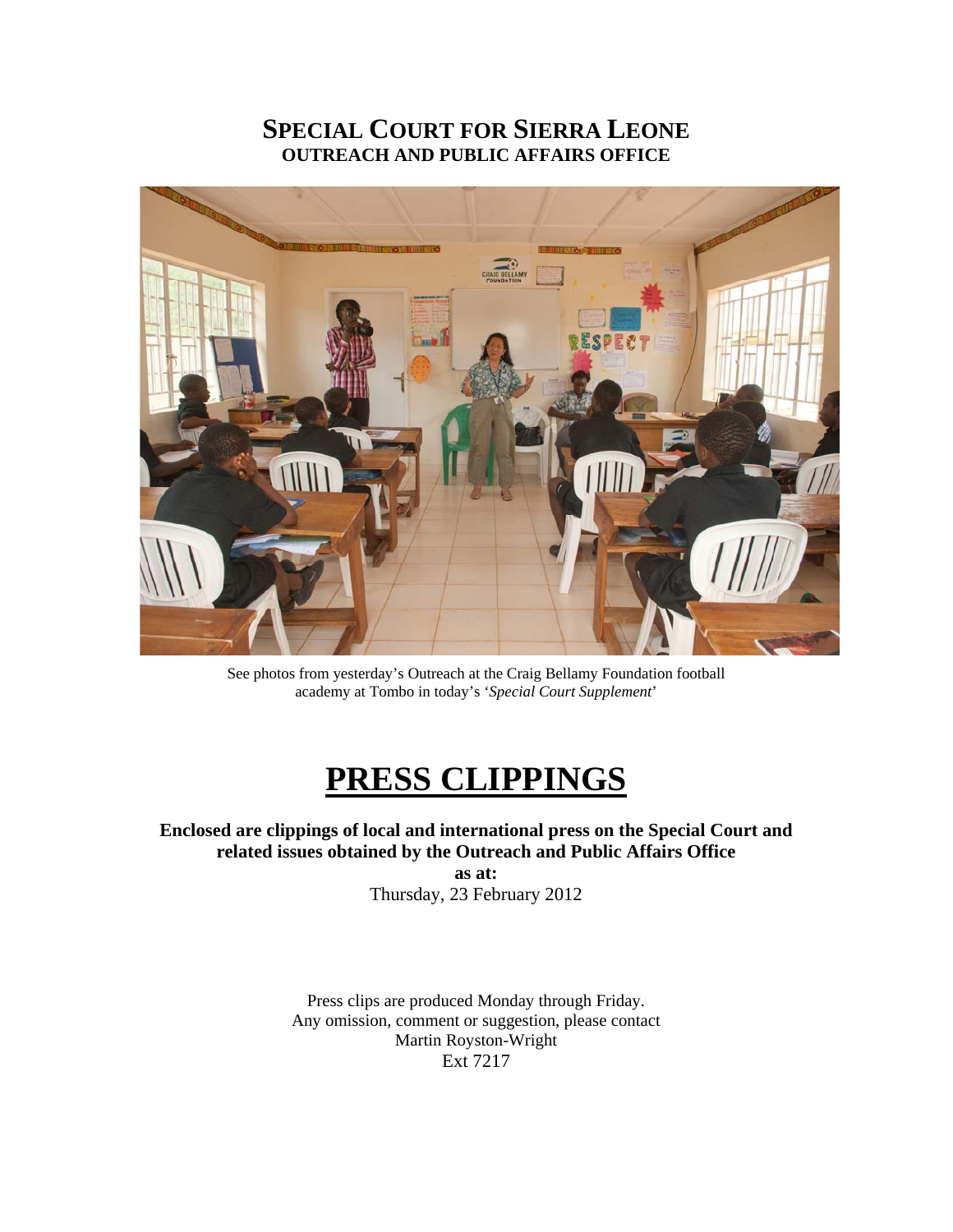# **SPECIAL COURT FOR SIERRA LEONE OUTREACH AND PUBLIC AFFAIRS OFFICE**



See photos from yesterday's Outreach at the Craig Bellamy Foundation football academy at Tombo in today's '*Special Court Supplement*'

# **PRESS CLIPPINGS**

# **Enclosed are clippings of local and international press on the Special Court and related issues obtained by the Outreach and Public Affairs Office**

**as at:**  Thursday, 23 February 2012

Press clips are produced Monday through Friday. Any omission, comment or suggestion, please contact Martin Royston-Wright Ext 7217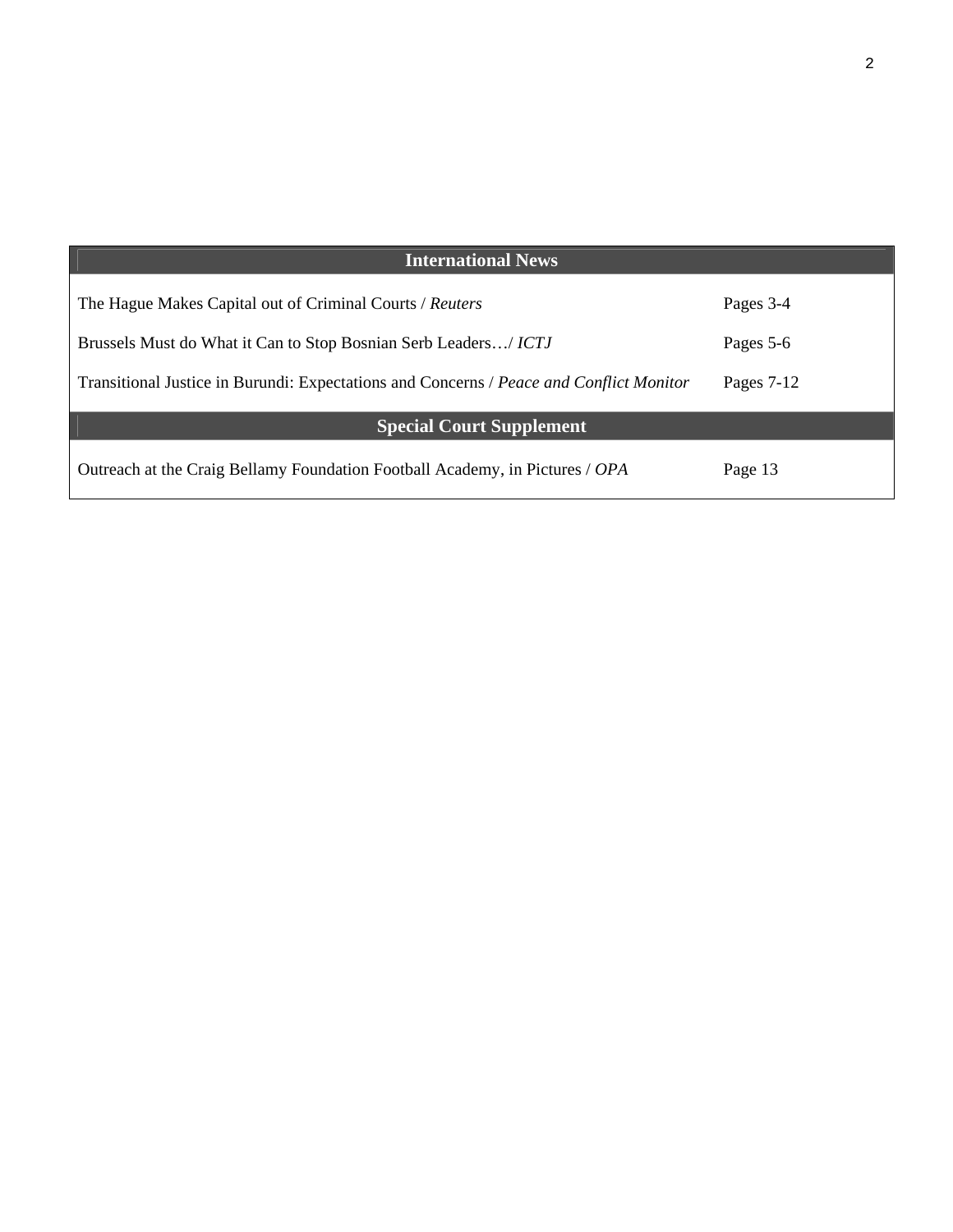| <b>International News</b>                                                               |              |
|-----------------------------------------------------------------------------------------|--------------|
| The Hague Makes Capital out of Criminal Courts / Reuters                                | Pages 3-4    |
| Brussels Must do What it Can to Stop Bosnian Serb Leaders/ ICTJ                         | Pages 5-6    |
| Transitional Justice in Burundi: Expectations and Concerns / Peace and Conflict Monitor | Pages $7-12$ |
| <b>Special Court Supplement</b>                                                         |              |
| Outreach at the Craig Bellamy Foundation Football Academy, in Pictures / OPA            | Page 13      |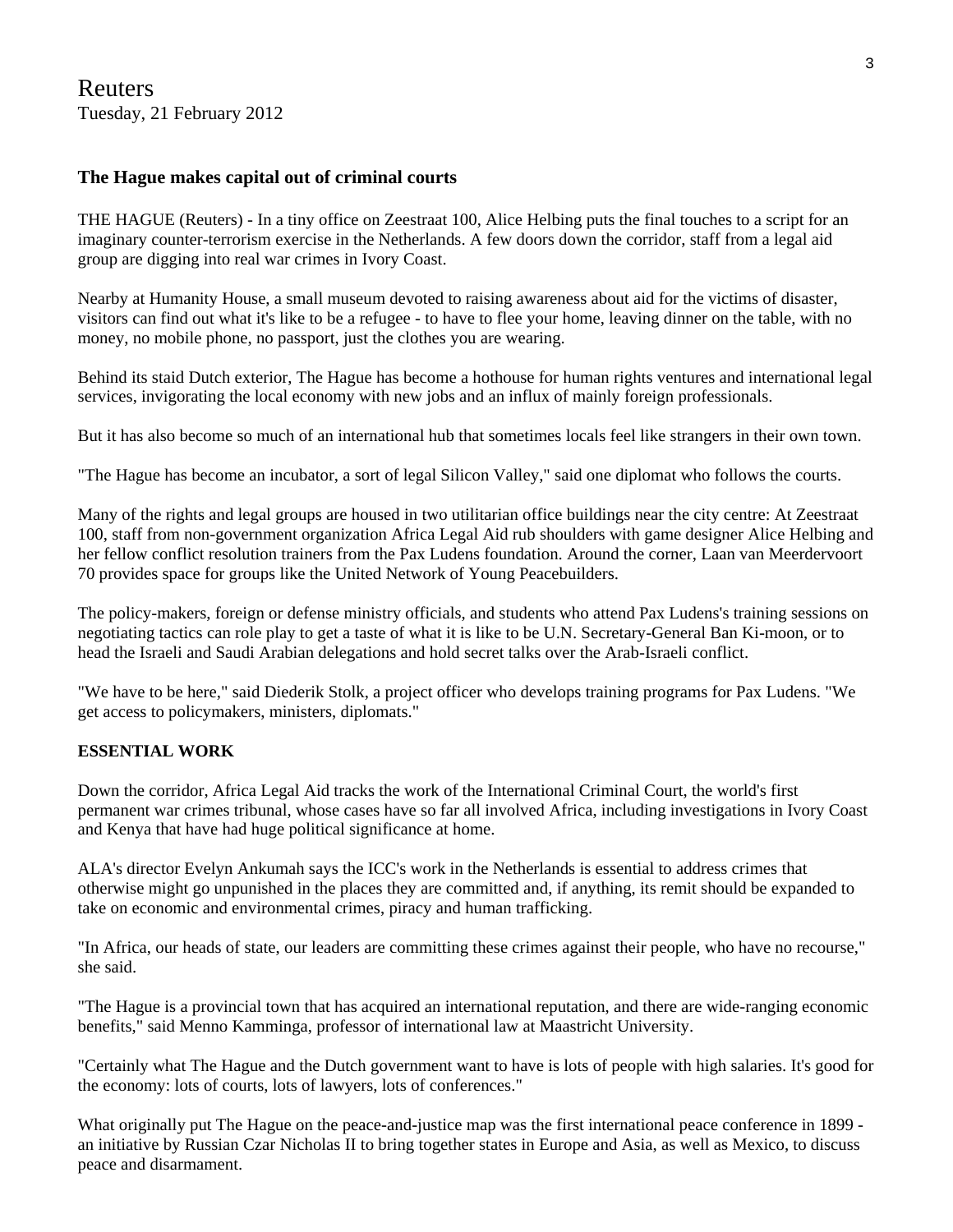# **The Hague makes capital out of criminal courts**

THE HAGUE (Reuters) - In a tiny office on Zeestraat 100, Alice Helbing puts the final touches to a script for an imaginary counter-terrorism exercise in the Netherlands. A few doors down the corridor, staff from a legal aid group are digging into real war crimes in Ivory Coast.

Nearby at Humanity House, a small museum devoted to raising awareness about aid for the victims of disaster, visitors can find out what it's like to be a refugee - to have to flee your home, leaving dinner on the table, with no money, no mobile phone, no passport, just the clothes you are wearing.

Behind its staid Dutch exterior, The Hague has become a hothouse for human rights ventures and international legal services, invigorating the local economy with new jobs and an influx of mainly foreign professionals.

But it has also become so much of an international hub that sometimes locals feel like strangers in their own town.

"The Hague has become an incubator, a sort of legal Silicon Valley," said one diplomat who follows the courts.

Many of the rights and legal groups are housed in two utilitarian office buildings near the city centre: At Zeestraat 100, staff from non-government organization Africa Legal Aid rub shoulders with game designer Alice Helbing and her fellow conflict resolution trainers from the Pax Ludens foundation. Around the corner, Laan van Meerdervoort 70 provides space for groups like the United Network of Young Peacebuilders.

The policy-makers, foreign or defense ministry officials, and students who attend Pax Ludens's training sessions on negotiating tactics can role play to get a taste of what it is like to be U.N. Secretary-General Ban Ki-moon, or to head the Israeli and Saudi Arabian delegations and hold secret talks over the Arab-Israeli conflict.

"We have to be here," said Diederik Stolk, a project officer who develops training programs for Pax Ludens. "We get access to policymakers, ministers, diplomats."

#### **ESSENTIAL WORK**

Down the corridor, Africa Legal Aid tracks the work of the International Criminal Court, the world's first permanent war crimes tribunal, whose cases have so far all involved Africa, including investigations in Ivory Coast and Kenya that have had huge political significance at home.

ALA's director Evelyn Ankumah says the ICC's work in the Netherlands is essential to address crimes that otherwise might go unpunished in the places they are committed and, if anything, its remit should be expanded to take on economic and environmental crimes, piracy and human trafficking.

"In Africa, our heads of state, our leaders are committing these crimes against their people, who have no recourse," she said.

"The Hague is a provincial town that has acquired an international reputation, and there are wide-ranging economic benefits," said Menno Kamminga, professor of international law at Maastricht University.

"Certainly what The Hague and the Dutch government want to have is lots of people with high salaries. It's good for the economy: lots of courts, lots of lawyers, lots of conferences."

What originally put The Hague on the peace-and-justice map was the first international peace conference in 1899 an initiative by Russian Czar Nicholas II to bring together states in Europe and Asia, as well as Mexico, to discuss peace and disarmament.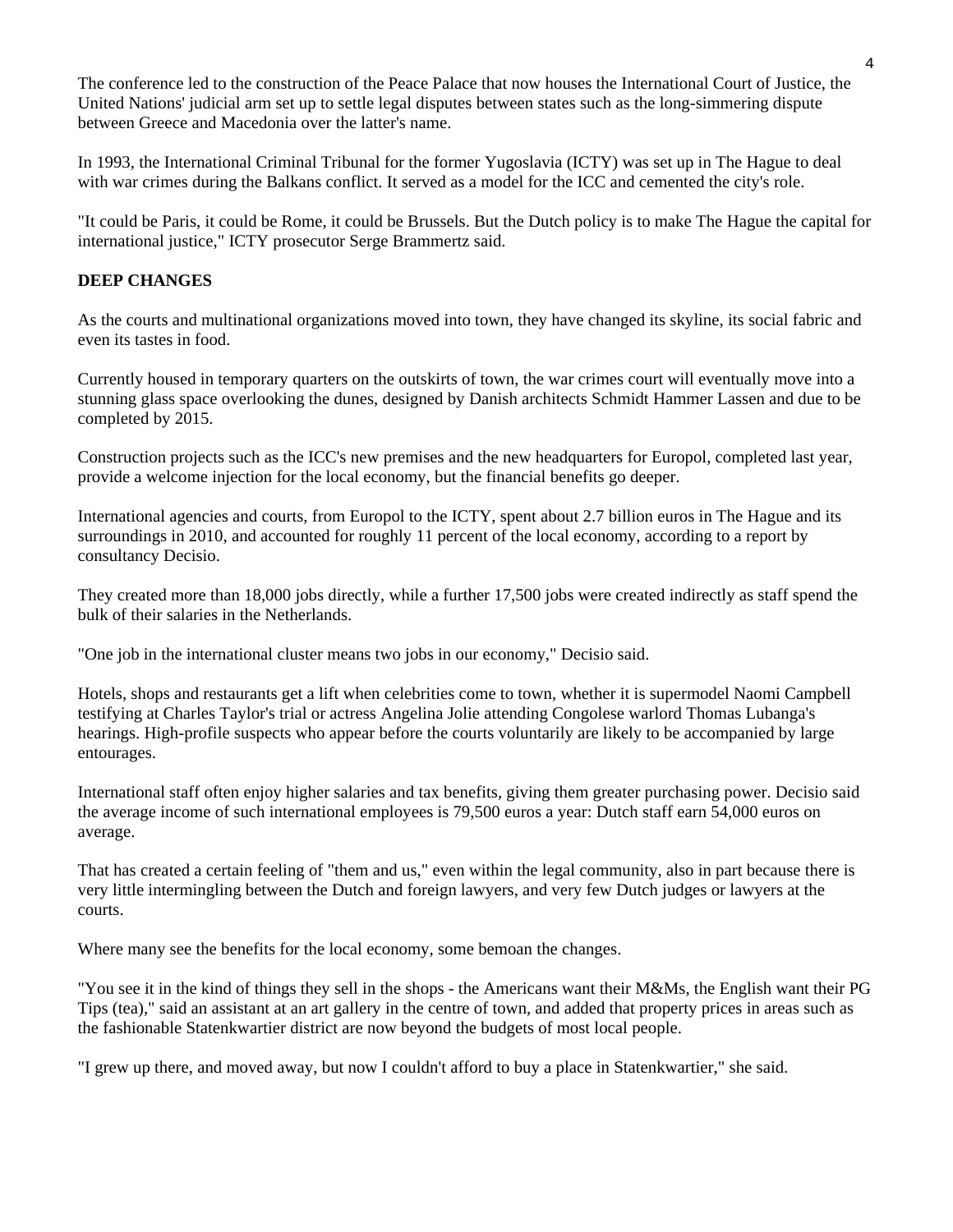The conference led to the construction of the Peace Palace that now houses the International Court of Justice, the United Nations' judicial arm set up to settle legal disputes between states such as the long-simmering dispute between Greece and Macedonia over the latter's name.

In 1993, the International Criminal Tribunal for the former Yugoslavia (ICTY) was set up in The Hague to deal with war crimes during the Balkans conflict. It served as a model for the ICC and cemented the city's role.

"It could be Paris, it could be Rome, it could be Brussels. But the Dutch policy is to make The Hague the capital for international justice," ICTY prosecutor Serge Brammertz said.

#### **DEEP CHANGES**

As the courts and multinational organizations moved into town, they have changed its skyline, its social fabric and even its tastes in food.

Currently housed in temporary quarters on the outskirts of town, the war crimes court will eventually move into a stunning glass space overlooking the dunes, designed by Danish architects Schmidt Hammer Lassen and due to be completed by 2015.

Construction projects such as the ICC's new premises and the new headquarters for Europol, completed last year, provide a welcome injection for the local economy, but the financial benefits go deeper.

International agencies and courts, from Europol to the ICTY, spent about 2.7 billion euros in The Hague and its surroundings in 2010, and accounted for roughly 11 percent of the local economy, according to a report by consultancy Decisio.

They created more than 18,000 jobs directly, while a further 17,500 jobs were created indirectly as staff spend the bulk of their salaries in the Netherlands.

"One job in the international cluster means two jobs in our economy," Decisio said.

Hotels, shops and restaurants get a lift when celebrities come to town, whether it is supermodel Naomi Campbell testifying at Charles Taylor's trial or actress Angelina Jolie attending Congolese warlord Thomas Lubanga's hearings. High-profile suspects who appear before the courts voluntarily are likely to be accompanied by large entourages.

International staff often enjoy higher salaries and tax benefits, giving them greater purchasing power. Decisio said the average income of such international employees is 79,500 euros a year: Dutch staff earn 54,000 euros on average.

That has created a certain feeling of "them and us," even within the legal community, also in part because there is very little intermingling between the Dutch and foreign lawyers, and very few Dutch judges or lawyers at the courts.

Where many see the benefits for the local economy, some bemoan the changes.

"You see it in the kind of things they sell in the shops - the Americans want their M&Ms, the English want their PG Tips (tea)," said an assistant at an art gallery in the centre of town, and added that property prices in areas such as the fashionable Statenkwartier district are now beyond the budgets of most local people.

"I grew up there, and moved away, but now I couldn't afford to buy a place in Statenkwartier," she said.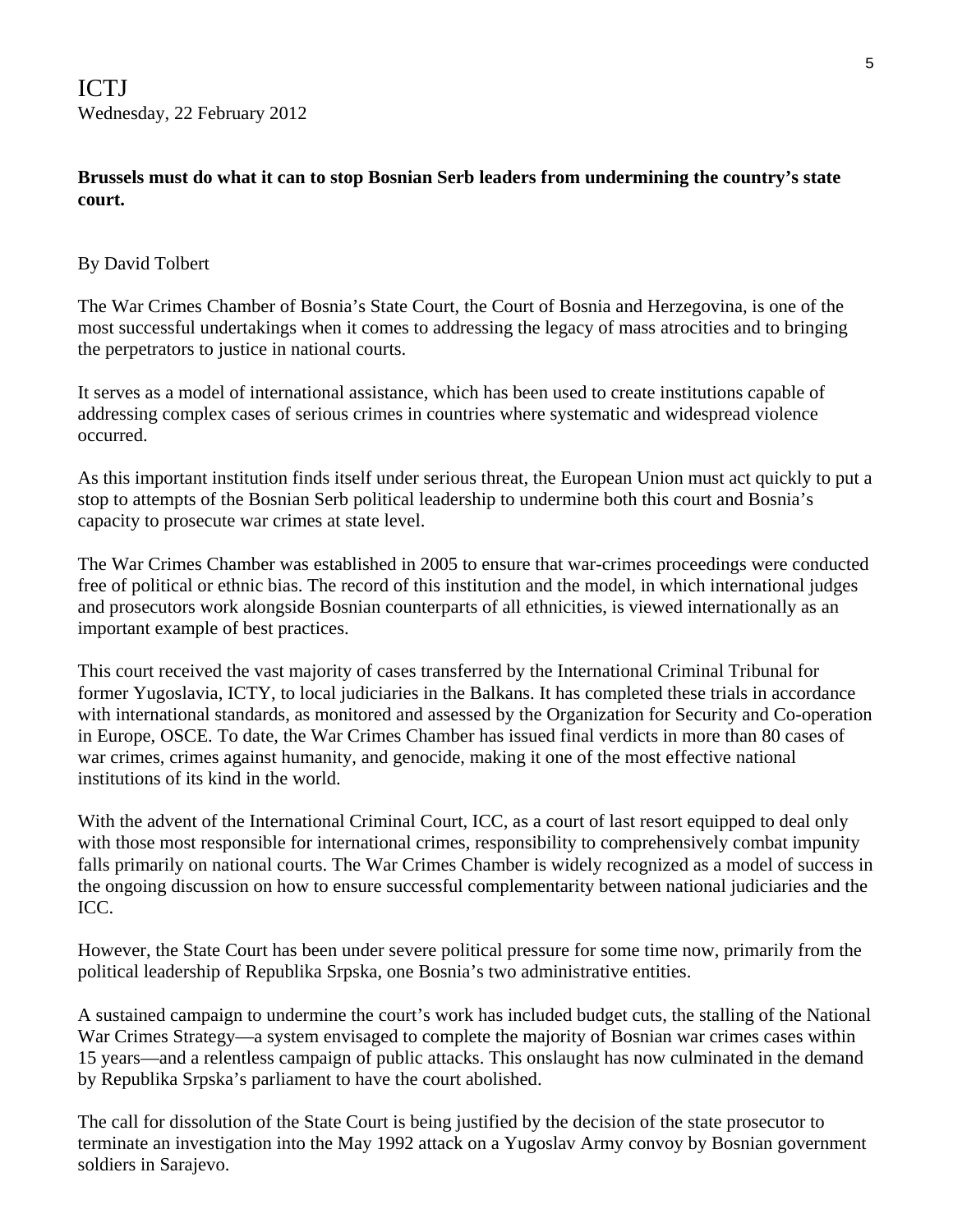ICTJ Wednesday, 22 February 2012

# **Brussels must do what it can to stop Bosnian Serb leaders from undermining the country's state court.**

## By David Tolbert

The War Crimes Chamber of Bosnia's State Court, the Court of Bosnia and Herzegovina, is one of the most successful undertakings when it comes to addressing the legacy of mass atrocities and to bringing the perpetrators to justice in national courts.

It serves as a model of international assistance, which has been used to create institutions capable of addressing complex cases of serious crimes in countries where systematic and widespread violence occurred.

As this important institution finds itself under serious threat, the European Union must act quickly to put a stop to attempts of the Bosnian Serb political leadership to undermine both this court and Bosnia's capacity to prosecute war crimes at state level.

The War Crimes Chamber was established in 2005 to ensure that war-crimes proceedings were conducted free of political or ethnic bias. The record of this institution and the model, in which international judges and prosecutors work alongside Bosnian counterparts of all ethnicities, is viewed internationally as an important example of best practices.

This court received the vast majority of cases transferred by the International Criminal Tribunal for former Yugoslavia, ICTY, to local judiciaries in the Balkans. It has completed these trials in accordance with international standards, as monitored and assessed by the Organization for Security and Co-operation in Europe, OSCE. To date, the War Crimes Chamber has issued final verdicts in more than 80 cases of war crimes, crimes against humanity, and genocide, making it one of the most effective national institutions of its kind in the world.

With the advent of the International Criminal Court, ICC, as a court of last resort equipped to deal only with those most responsible for international crimes, responsibility to comprehensively combat impunity falls primarily on national courts. The War Crimes Chamber is widely recognized as a model of success in the ongoing discussion on how to ensure successful complementarity between national judiciaries and the ICC.

However, the State Court has been under severe political pressure for some time now, primarily from the political leadership of Republika Srpska, one Bosnia's two administrative entities.

A sustained campaign to undermine the court's work has included budget cuts, the stalling of the National War Crimes Strategy—a system envisaged to complete the majority of Bosnian war crimes cases within 15 years—and a relentless campaign of public attacks. This onslaught has now culminated in the demand by Republika Srpska's parliament to have the court abolished.

The call for dissolution of the State Court is being justified by the decision of the state prosecutor to terminate an investigation into the May 1992 attack on a Yugoslav Army convoy by Bosnian government soldiers in Sarajevo.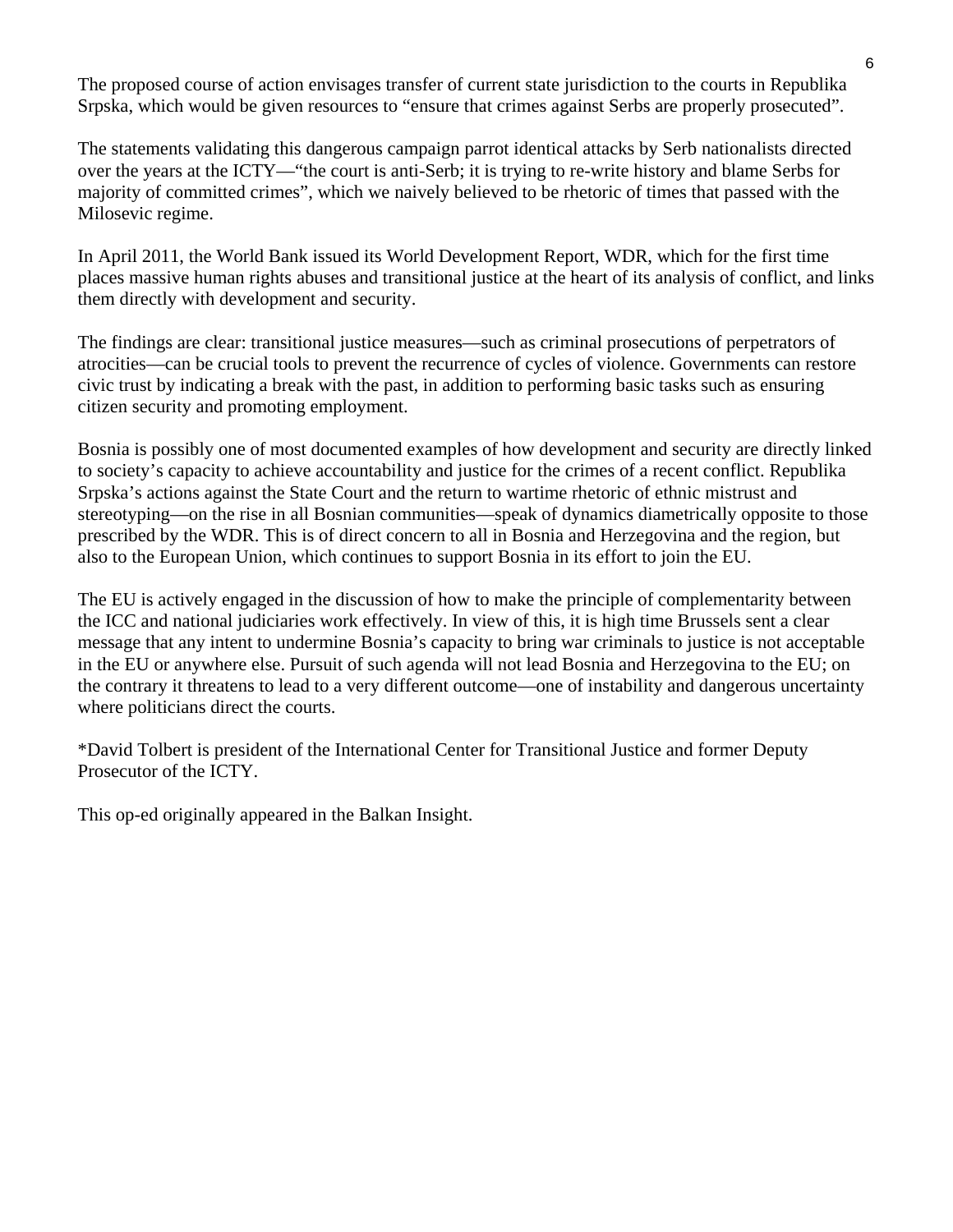The proposed course of action envisages transfer of current state jurisdiction to the courts in Republika Srpska, which would be given resources to "ensure that crimes against Serbs are properly prosecuted".

The statements validating this dangerous campaign parrot identical attacks by Serb nationalists directed over the years at the ICTY—"the court is anti-Serb; it is trying to re-write history and blame Serbs for majority of committed crimes", which we naively believed to be rhetoric of times that passed with the Milosevic regime.

In April 2011, the World Bank issued its World Development Report, WDR, which for the first time places massive human rights abuses and transitional justice at the heart of its analysis of conflict, and links them directly with development and security.

The findings are clear: transitional justice measures—such as criminal prosecutions of perpetrators of atrocities—can be crucial tools to prevent the recurrence of cycles of violence. Governments can restore civic trust by indicating a break with the past, in addition to performing basic tasks such as ensuring citizen security and promoting employment.

Bosnia is possibly one of most documented examples of how development and security are directly linked to society's capacity to achieve accountability and justice for the crimes of a recent conflict. Republika Srpska's actions against the State Court and the return to wartime rhetoric of ethnic mistrust and stereotyping—on the rise in all Bosnian communities—speak of dynamics diametrically opposite to those prescribed by the WDR. This is of direct concern to all in Bosnia and Herzegovina and the region, but also to the European Union, which continues to support Bosnia in its effort to join the EU.

The EU is actively engaged in the discussion of how to make the principle of complementarity between the ICC and national judiciaries work effectively. In view of this, it is high time Brussels sent a clear message that any intent to undermine Bosnia's capacity to bring war criminals to justice is not acceptable in the EU or anywhere else. Pursuit of such agenda will not lead Bosnia and Herzegovina to the EU; on the contrary it threatens to lead to a very different outcome—one of instability and dangerous uncertainty where politicians direct the courts.

\*David Tolbert is president of the International Center for Transitional Justice and former Deputy Prosecutor of the ICTY.

This op-ed originally appeared in the Balkan Insight.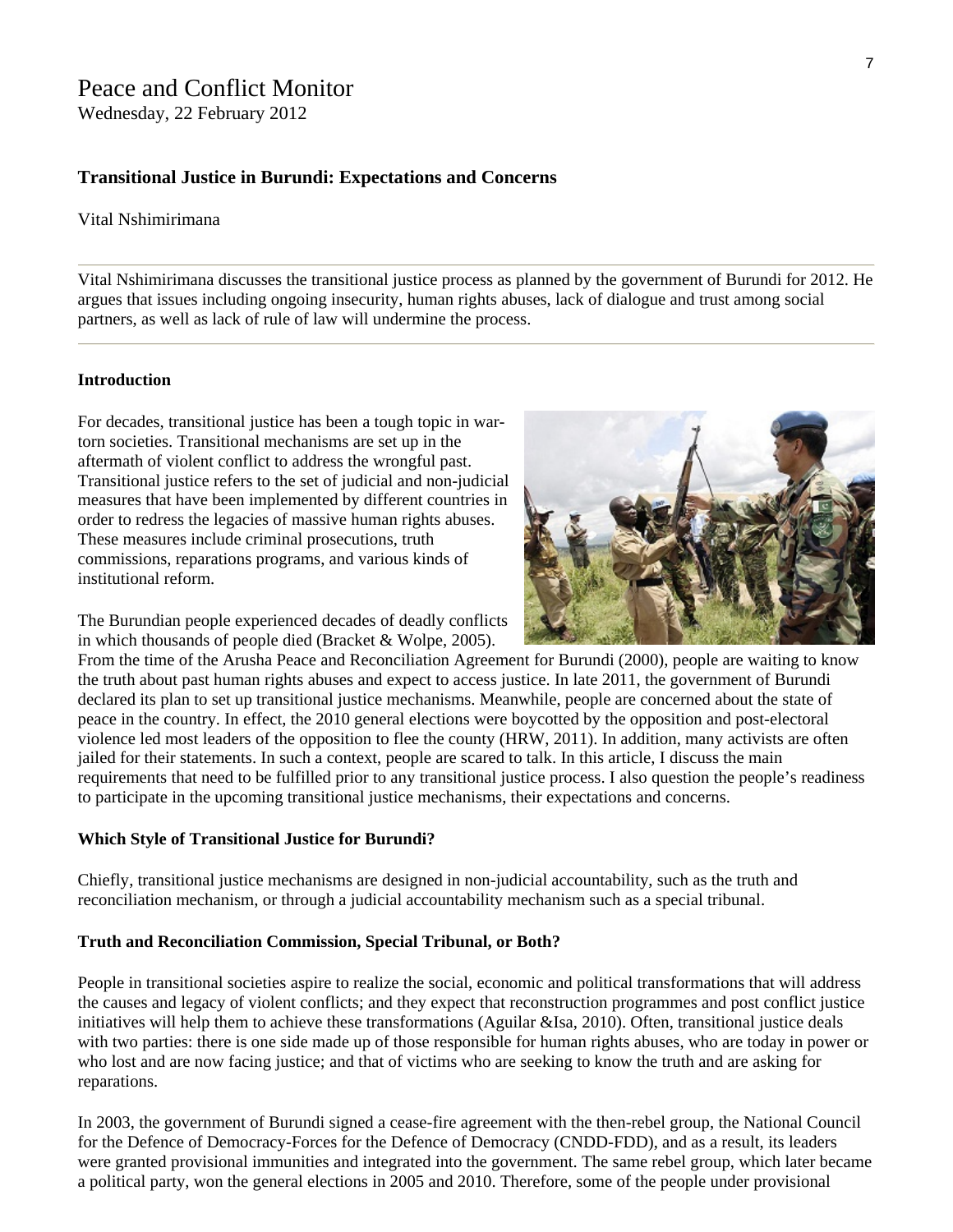# Peace and Conflict Monitor Wednesday, 22 February 2012

## **Transitional Justice in Burundi: Expectations and Concerns**

#### Vital Nshimirimana

Vital Nshimirimana discusses the transitional justice process as planned by the government of Burundi for 2012. He argues that issues including ongoing insecurity, human rights abuses, lack of dialogue and trust among social partners, as well as lack of rule of law will undermine the process.

#### **Introduction**

For decades, transitional justice has been a tough topic in wartorn societies. Transitional mechanisms are set up in the aftermath of violent conflict to address the wrongful past. Transitional justice refers to the set of judicial and non-judicial measures that have been implemented by different countries in order to redress the legacies of massive human rights abuses. These measures include criminal prosecutions, truth commissions, reparations programs, and various kinds of institutional reform.

The Burundian people experienced decades of deadly conflicts in which thousands of people died (Bracket & Wolpe, 2005).

From the time of the Arusha Peace and Reconciliation Agreement for Burundi (2000), people are waiting to know the truth about past human rights abuses and expect to access justice. In late 2011, the government of Burundi declared its plan to set up transitional justice mechanisms. Meanwhile, people are concerned about the state of peace in the country. In effect, the 2010 general elections were boycotted by the opposition and post-electoral violence led most leaders of the opposition to flee the county (HRW, 2011). In addition, many activists are often jailed for their statements. In such a context, people are scared to talk. In this article, I discuss the main requirements that need to be fulfilled prior to any transitional justice process. I also question the people's readiness to participate in the upcoming transitional justice mechanisms, their expectations and concerns.

#### **Which Style of Transitional Justice for Burundi?**

Chiefly, transitional justice mechanisms are designed in non-judicial accountability, such as the truth and reconciliation mechanism, or through a judicial accountability mechanism such as a special tribunal.

#### **Truth and Reconciliation Commission, Special Tribunal, or Both?**

People in transitional societies aspire to realize the social, economic and political transformations that will address the causes and legacy of violent conflicts; and they expect that reconstruction programmes and post conflict justice initiatives will help them to achieve these transformations (Aguilar &Isa, 2010). Often, transitional justice deals with two parties: there is one side made up of those responsible for human rights abuses, who are today in power or who lost and are now facing justice; and that of victims who are seeking to know the truth and are asking for reparations.

In 2003, the government of Burundi signed a cease-fire agreement with the then-rebel group, the National Council for the Defence of Democracy-Forces for the Defence of Democracy (CNDD-FDD), and as a result, its leaders were granted provisional immunities and integrated into the government. The same rebel group, which later became a political party, won the general elections in 2005 and 2010. Therefore, some of the people under provisional

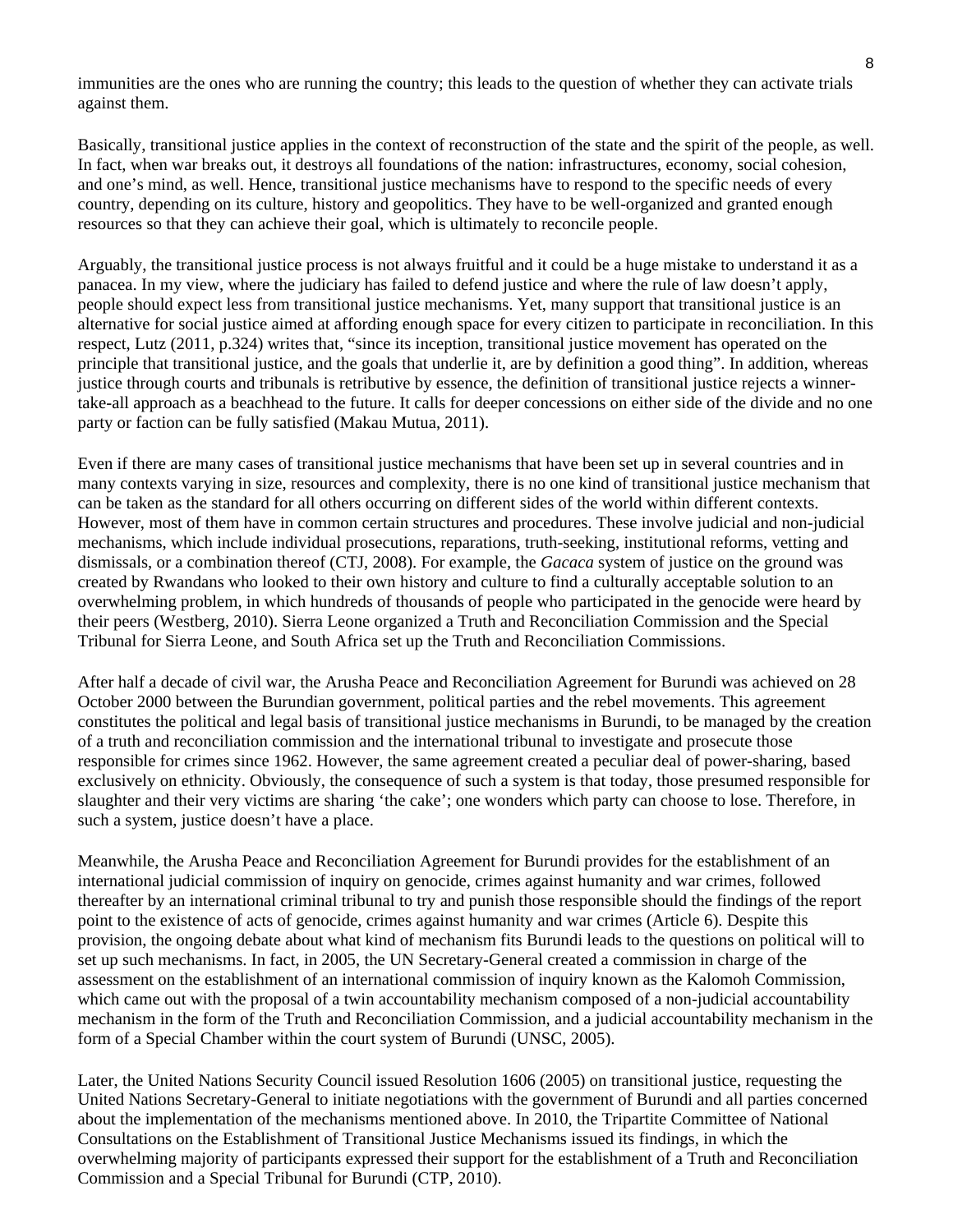immunities are the ones who are running the country; this leads to the question of whether they can activate trials against them.

Basically, transitional justice applies in the context of reconstruction of the state and the spirit of the people, as well. In fact, when war breaks out, it destroys all foundations of the nation: infrastructures, economy, social cohesion, and one's mind, as well. Hence, transitional justice mechanisms have to respond to the specific needs of every country, depending on its culture, history and geopolitics. They have to be well-organized and granted enough resources so that they can achieve their goal, which is ultimately to reconcile people.

Arguably, the transitional justice process is not always fruitful and it could be a huge mistake to understand it as a panacea. In my view, where the judiciary has failed to defend justice and where the rule of law doesn't apply, people should expect less from transitional justice mechanisms. Yet, many support that transitional justice is an alternative for social justice aimed at affording enough space for every citizen to participate in reconciliation. In this respect, Lutz (2011, p.324) writes that, "since its inception, transitional justice movement has operated on the principle that transitional justice, and the goals that underlie it, are by definition a good thing". In addition, whereas justice through courts and tribunals is retributive by essence, the definition of transitional justice rejects a winnertake-all approach as a beachhead to the future. It calls for deeper concessions on either side of the divide and no one party or faction can be fully satisfied (Makau Mutua, 2011).

Even if there are many cases of transitional justice mechanisms that have been set up in several countries and in many contexts varying in size, resources and complexity, there is no one kind of transitional justice mechanism that can be taken as the standard for all others occurring on different sides of the world within different contexts. However, most of them have in common certain structures and procedures. These involve judicial and non-judicial mechanisms, which include individual prosecutions, reparations, truth-seeking, institutional reforms, vetting and dismissals, or a combination thereof (CTJ, 2008). For example, the *Gacaca* system of justice on the ground was created by Rwandans who looked to their own history and culture to find a culturally acceptable solution to an overwhelming problem, in which hundreds of thousands of people who participated in the genocide were heard by their peers (Westberg, 2010). Sierra Leone organized a Truth and Reconciliation Commission and the Special Tribunal for Sierra Leone, and South Africa set up the Truth and Reconciliation Commissions.

After half a decade of civil war, the Arusha Peace and Reconciliation Agreement for Burundi was achieved on 28 October 2000 between the Burundian government, political parties and the rebel movements. This agreement constitutes the political and legal basis of transitional justice mechanisms in Burundi, to be managed by the creation of a truth and reconciliation commission and the international tribunal to investigate and prosecute those responsible for crimes since 1962. However, the same agreement created a peculiar deal of power-sharing, based exclusively on ethnicity. Obviously, the consequence of such a system is that today, those presumed responsible for slaughter and their very victims are sharing 'the cake'; one wonders which party can choose to lose. Therefore, in such a system, justice doesn't have a place.

Meanwhile, the Arusha Peace and Reconciliation Agreement for Burundi provides for the establishment of an international judicial commission of inquiry on genocide, crimes against humanity and war crimes, followed thereafter by an international criminal tribunal to try and punish those responsible should the findings of the report point to the existence of acts of genocide, crimes against humanity and war crimes (Article 6). Despite this provision, the ongoing debate about what kind of mechanism fits Burundi leads to the questions on political will to set up such mechanisms. In fact, in 2005, the UN Secretary-General created a commission in charge of the assessment on the establishment of an international commission of inquiry known as the Kalomoh Commission, which came out with the proposal of a twin accountability mechanism composed of a non-judicial accountability mechanism in the form of the Truth and Reconciliation Commission, and a judicial accountability mechanism in the form of a Special Chamber within the court system of Burundi (UNSC, 2005).

Later, the United Nations Security Council issued Resolution 1606 (2005) on transitional justice, requesting the United Nations Secretary-General to initiate negotiations with the government of Burundi and all parties concerned about the implementation of the mechanisms mentioned above. In 2010, the Tripartite Committee of National Consultations on the Establishment of Transitional Justice Mechanisms issued its findings, in which the overwhelming majority of participants expressed their support for the establishment of a Truth and Reconciliation Commission and a Special Tribunal for Burundi (CTP, 2010).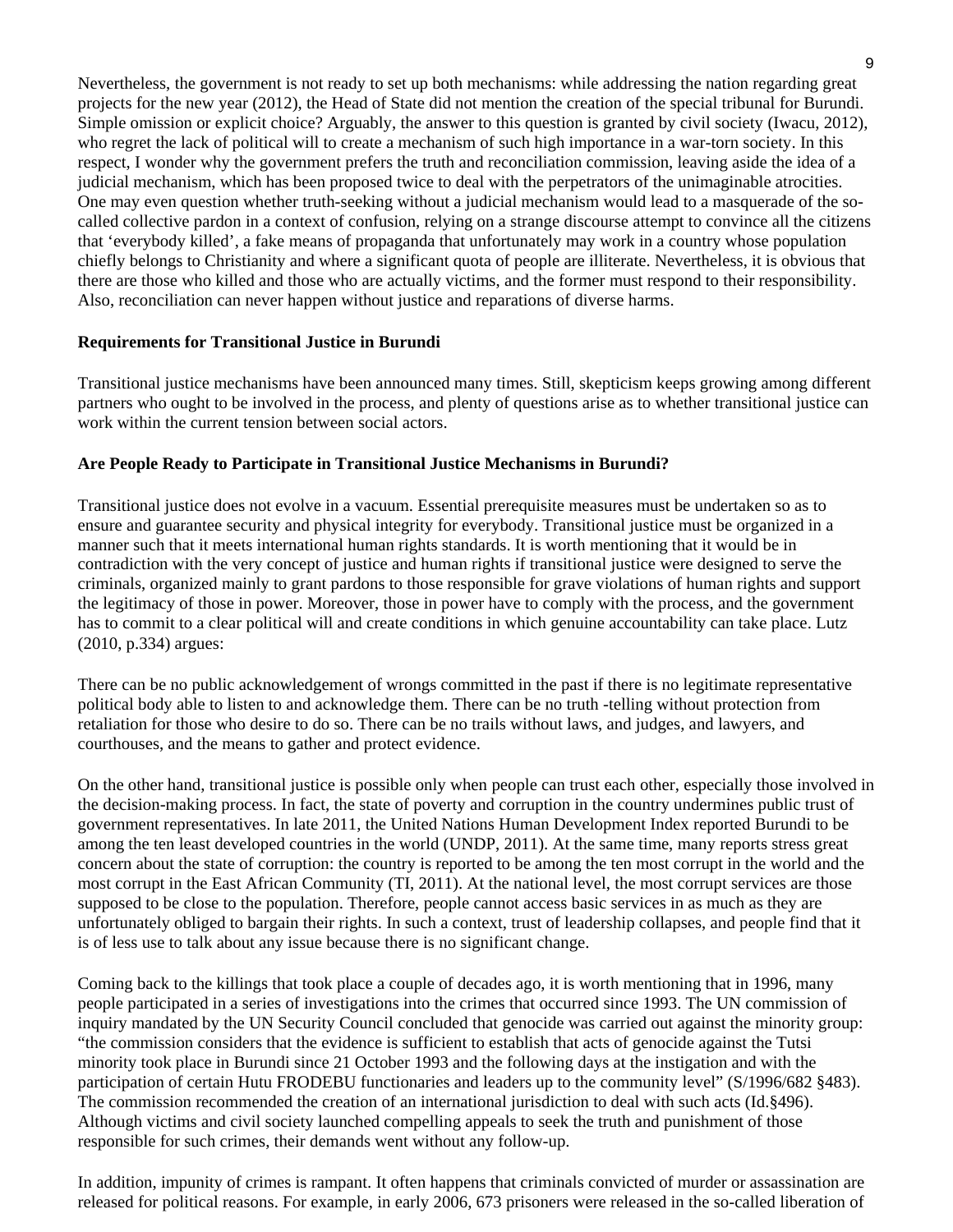Nevertheless, the government is not ready to set up both mechanisms: while addressing the nation regarding great projects for the new year (2012), the Head of State did not mention the creation of the special tribunal for Burundi. Simple omission or explicit choice? Arguably, the answer to this question is granted by civil society (Iwacu, 2012), who regret the lack of political will to create a mechanism of such high importance in a war-torn society. In this respect, I wonder why the government prefers the truth and reconciliation commission, leaving aside the idea of a judicial mechanism, which has been proposed twice to deal with the perpetrators of the unimaginable atrocities. One may even question whether truth-seeking without a judicial mechanism would lead to a masquerade of the socalled collective pardon in a context of confusion, relying on a strange discourse attempt to convince all the citizens that 'everybody killed', a fake means of propaganda that unfortunately may work in a country whose population chiefly belongs to Christianity and where a significant quota of people are illiterate. Nevertheless, it is obvious that there are those who killed and those who are actually victims, and the former must respond to their responsibility. Also, reconciliation can never happen without justice and reparations of diverse harms.

#### **Requirements for Transitional Justice in Burundi**

Transitional justice mechanisms have been announced many times. Still, skepticism keeps growing among different partners who ought to be involved in the process, and plenty of questions arise as to whether transitional justice can work within the current tension between social actors.

#### **Are People Ready to Participate in Transitional Justice Mechanisms in Burundi?**

Transitional justice does not evolve in a vacuum. Essential prerequisite measures must be undertaken so as to ensure and guarantee security and physical integrity for everybody. Transitional justice must be organized in a manner such that it meets international human rights standards. It is worth mentioning that it would be in contradiction with the very concept of justice and human rights if transitional justice were designed to serve the criminals, organized mainly to grant pardons to those responsible for grave violations of human rights and support the legitimacy of those in power. Moreover, those in power have to comply with the process, and the government has to commit to a clear political will and create conditions in which genuine accountability can take place. Lutz (2010, p.334) argues:

There can be no public acknowledgement of wrongs committed in the past if there is no legitimate representative political body able to listen to and acknowledge them. There can be no truth -telling without protection from retaliation for those who desire to do so. There can be no trails without laws, and judges, and lawyers, and courthouses, and the means to gather and protect evidence.

On the other hand, transitional justice is possible only when people can trust each other, especially those involved in the decision-making process. In fact, the state of poverty and corruption in the country undermines public trust of government representatives. In late 2011, the United Nations Human Development Index reported Burundi to be among the ten least developed countries in the world (UNDP, 2011). At the same time, many reports stress great concern about the state of corruption: the country is reported to be among the ten most corrupt in the world and the most corrupt in the East African Community (TI, 2011). At the national level, the most corrupt services are those supposed to be close to the population. Therefore, people cannot access basic services in as much as they are unfortunately obliged to bargain their rights. In such a context, trust of leadership collapses, and people find that it is of less use to talk about any issue because there is no significant change.

Coming back to the killings that took place a couple of decades ago, it is worth mentioning that in 1996, many people participated in a series of investigations into the crimes that occurred since 1993. The UN commission of inquiry mandated by the UN Security Council concluded that genocide was carried out against the minority group: "the commission considers that the evidence is sufficient to establish that acts of genocide against the Tutsi minority took place in Burundi since 21 October 1993 and the following days at the instigation and with the participation of certain Hutu FRODEBU functionaries and leaders up to the community level" (S/1996/682 §483). The commission recommended the creation of an international jurisdiction to deal with such acts (Id.§496). Although victims and civil society launched compelling appeals to seek the truth and punishment of those responsible for such crimes, their demands went without any follow-up.

In addition, impunity of crimes is rampant. It often happens that criminals convicted of murder or assassination are released for political reasons. For example, in early 2006, 673 prisoners were released in the so-called liberation of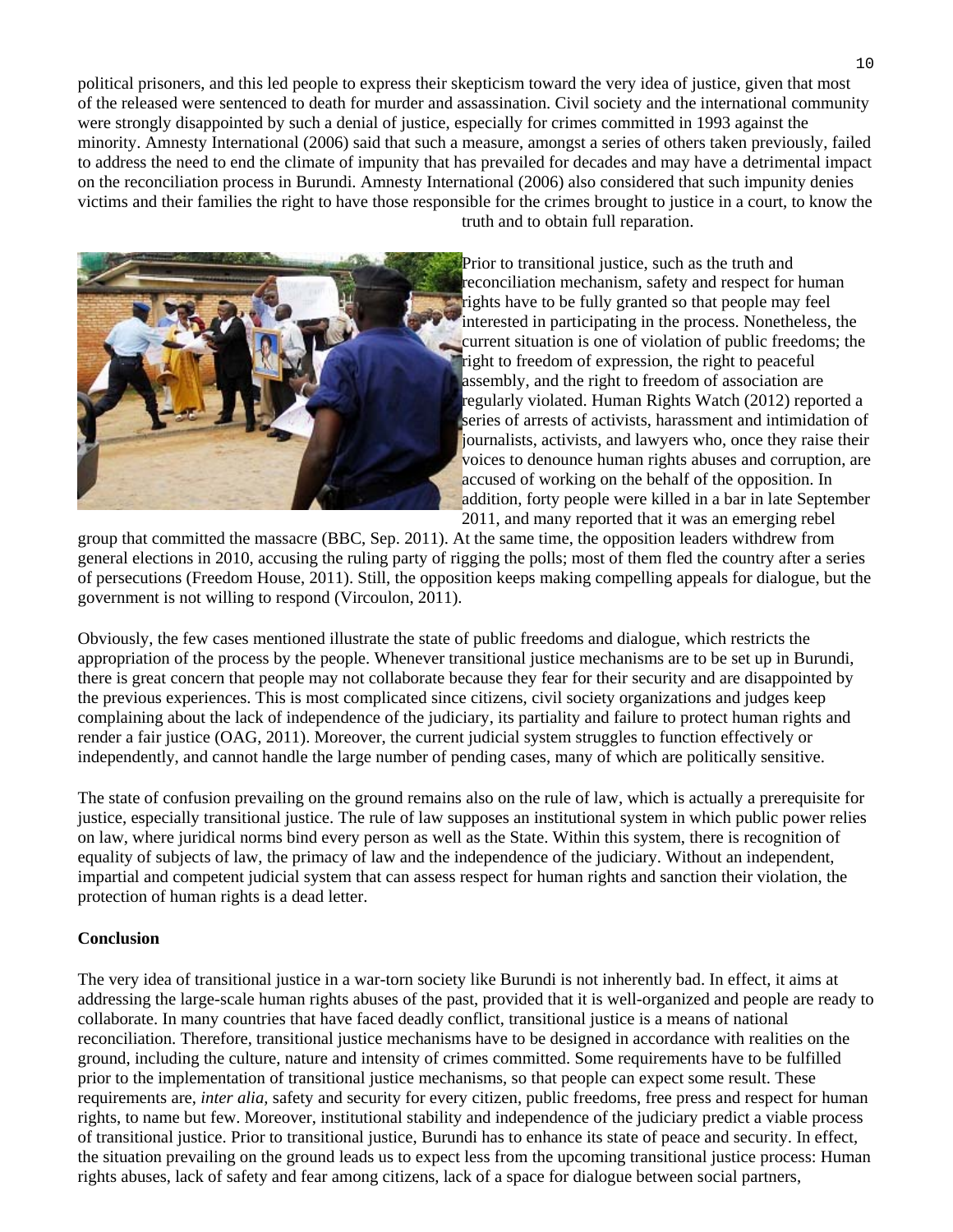political prisoners, and this led people to express their skepticism toward the very idea of justice, given that most of the released were sentenced to death for murder and assassination. Civil society and the international community were strongly disappointed by such a denial of justice, especially for crimes committed in 1993 against the minority. Amnesty International (2006) said that such a measure, amongst a series of others taken previously, failed to address the need to end the climate of impunity that has prevailed for decades and may have a detrimental impact on the reconciliation process in Burundi. Amnesty International (2006) also considered that such impunity denies victims and their families the right to have those responsible for the crimes brought to justice in a court, to know the truth and to obtain full reparation.



Prior to transitional justice, such as the truth and reconciliation mechanism, safety and respect for human rights have to be fully granted so that people may feel interested in participating in the process. Nonetheless, the current situation is one of violation of public freedoms; the right to freedom of expression, the right to peaceful assembly, and the right to freedom of association are regularly violated. Human Rights Watch (2012) reported a series of arrests of activists, harassment and intimidation of journalists, activists, and lawyers who, once they raise their voices to denounce human rights abuses and corruption, are accused of working on the behalf of the opposition. In addition, forty people were killed in a bar in late September 2011, and many reported that it was an emerging rebel

group that committed the massacre (BBC, Sep. 2011). At the same time, the opposition leaders withdrew from general elections in 2010, accusing the ruling party of rigging the polls; most of them fled the country after a series of persecutions (Freedom House, 2011). Still, the opposition keeps making compelling appeals for dialogue, but the government is not willing to respond (Vircoulon, 2011).

Obviously, the few cases mentioned illustrate the state of public freedoms and dialogue, which restricts the appropriation of the process by the people. Whenever transitional justice mechanisms are to be set up in Burundi, there is great concern that people may not collaborate because they fear for their security and are disappointed by the previous experiences. This is most complicated since citizens, civil society organizations and judges keep complaining about the lack of independence of the judiciary, its partiality and failure to protect human rights and render a fair justice (OAG, 2011). Moreover, the current judicial system struggles to function effectively or independently, and cannot handle the large number of pending cases, many of which are politically sensitive.

The state of confusion prevailing on the ground remains also on the rule of law, which is actually a prerequisite for justice, especially transitional justice. The rule of law supposes an institutional system in which public power relies on law, where juridical norms bind every person as well as the State. Within this system, there is recognition of equality of subjects of law, the primacy of law and the independence of the judiciary. Without an independent, impartial and competent judicial system that can assess respect for human rights and sanction their violation, the protection of human rights is a dead letter.

#### **Conclusion**

The very idea of transitional justice in a war-torn society like Burundi is not inherently bad. In effect, it aims at addressing the large-scale human rights abuses of the past, provided that it is well-organized and people are ready to collaborate. In many countries that have faced deadly conflict, transitional justice is a means of national reconciliation. Therefore, transitional justice mechanisms have to be designed in accordance with realities on the ground, including the culture, nature and intensity of crimes committed. Some requirements have to be fulfilled prior to the implementation of transitional justice mechanisms, so that people can expect some result. These requirements are, *inter alia,* safety and security for every citizen, public freedoms, free press and respect for human rights, to name but few. Moreover, institutional stability and independence of the judiciary predict a viable process of transitional justice. Prior to transitional justice, Burundi has to enhance its state of peace and security. In effect, the situation prevailing on the ground leads us to expect less from the upcoming transitional justice process: Human rights abuses, lack of safety and fear among citizens, lack of a space for dialogue between social partners,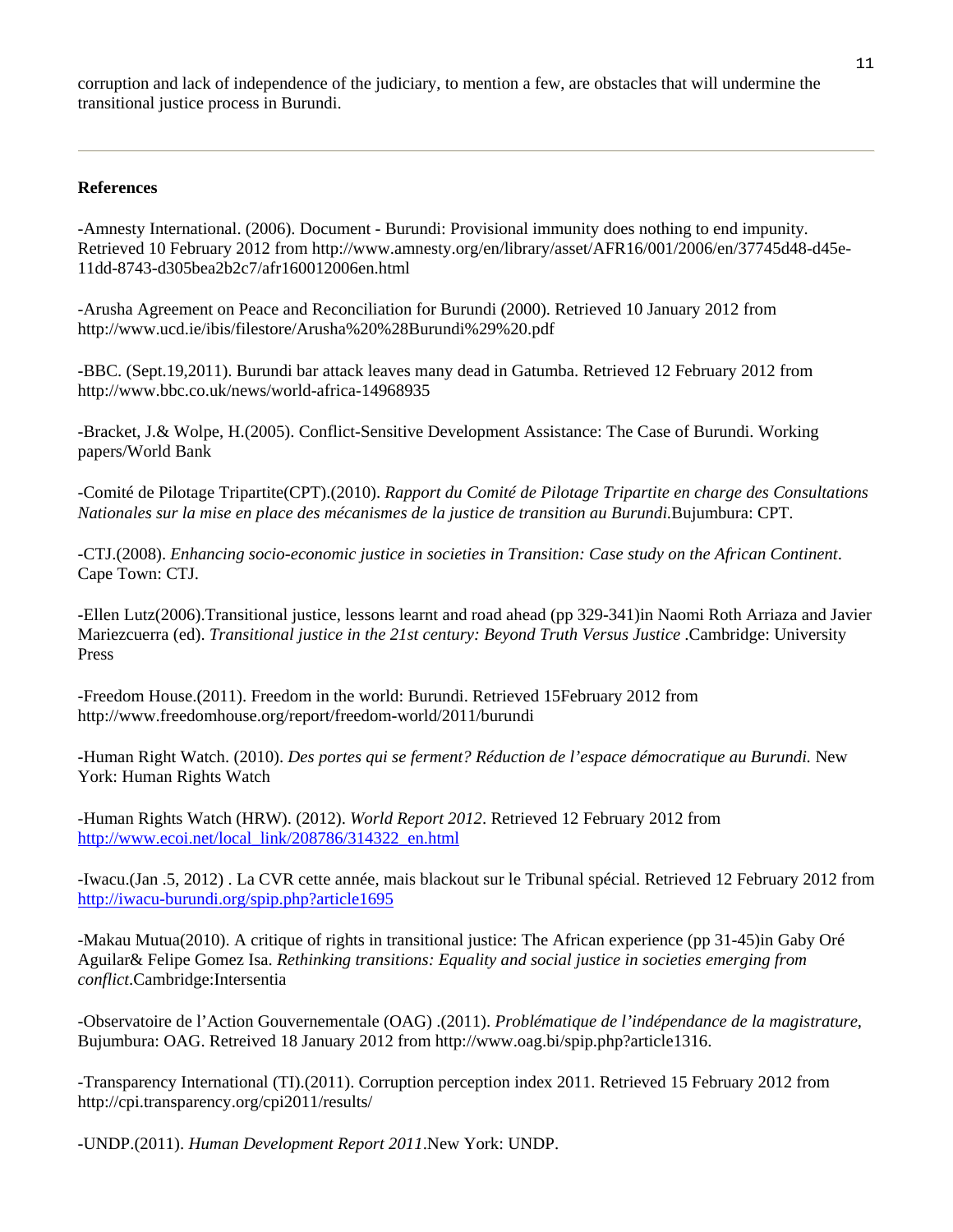corruption and lack of independence of the judiciary, to mention a few, are obstacles that will undermine the transitional justice process in Burundi.

#### **References**

-Amnesty International. (2006). Document - Burundi: Provisional immunity does nothing to end impunity. Retrieved 10 February 2012 from http://www.amnesty.org/en/library/asset/AFR16/001/2006/en/37745d48-d45e-11dd-8743-d305bea2b2c7/afr160012006en.html

-Arusha Agreement on Peace and Reconciliation for Burundi (2000). Retrieved 10 January 2012 from http://www.ucd.ie/ibis/filestore/Arusha%20%28Burundi%29%20.pdf

-BBC. (Sept.19,2011). Burundi bar attack leaves many dead in Gatumba. Retrieved 12 February 2012 from http://www.bbc.co.uk/news/world-africa-14968935

-Bracket, J.& Wolpe, H.(2005). Conflict-Sensitive Development Assistance: The Case of Burundi. Working papers/World Bank

-Comité de Pilotage Tripartite(CPT).(2010). *Rapport du Comité de Pilotage Tripartite en charge des Consultations Nationales sur la mise en place des mécanismes de la justice de transition au Burundi.*Bujumbura: CPT.

-CTJ.(2008). *Enhancing socio-economic justice in societies in Transition: Case study on the African Continent*. Cape Town: CTJ.

-Ellen Lutz(2006).Transitional justice, lessons learnt and road ahead (pp 329-341)in Naomi Roth Arriaza and Javier Mariezcuerra (ed). *Transitional justice in the 21st century: Beyond Truth Versus Justice* .Cambridge: University Press

-Freedom House.(2011). Freedom in the world: Burundi. Retrieved 15February 2012 from http://www.freedomhouse.org/report/freedom-world/2011/burundi

-Human Right Watch. (2010). *Des portes qui se ferment? Réduction de l'espace démocratique au Burundi.* New York: Human Rights Watch

-Human Rights Watch (HRW). (2012). *World Report 2012*. Retrieved 12 February 2012 from [http://www.ecoi.net/local\\_link/208786/314322\\_en.html](http://www.ecoi.net/local_link/208786/314322_en.html)

-Iwacu.(Jan .5, 2012) . La CVR cette année, mais blackout sur le Tribunal spécial. Retrieved 12 February 2012 from <http://iwacu-burundi.org/spip.php?article1695>

-Makau Mutua(2010). A critique of rights in transitional justice: The African experience (pp 31-45)in Gaby Oré Aguilar& Felipe Gomez Isa. *Rethinking transitions: Equality and social justice in societies emerging from conflict*.Cambridge:Intersentia

-Observatoire de l'Action Gouvernementale (OAG) .(2011). *Problématique de l'indépendance de la magistrature*, Bujumbura: OAG. Retreived 18 January 2012 from http://www.oag.bi/spip.php?article1316.

-Transparency International (TI).(2011). Corruption perception index 2011. Retrieved 15 February 2012 from http://cpi.transparency.org/cpi2011/results/

-UNDP.(2011). *Human Development Report 2011*.New York: UNDP.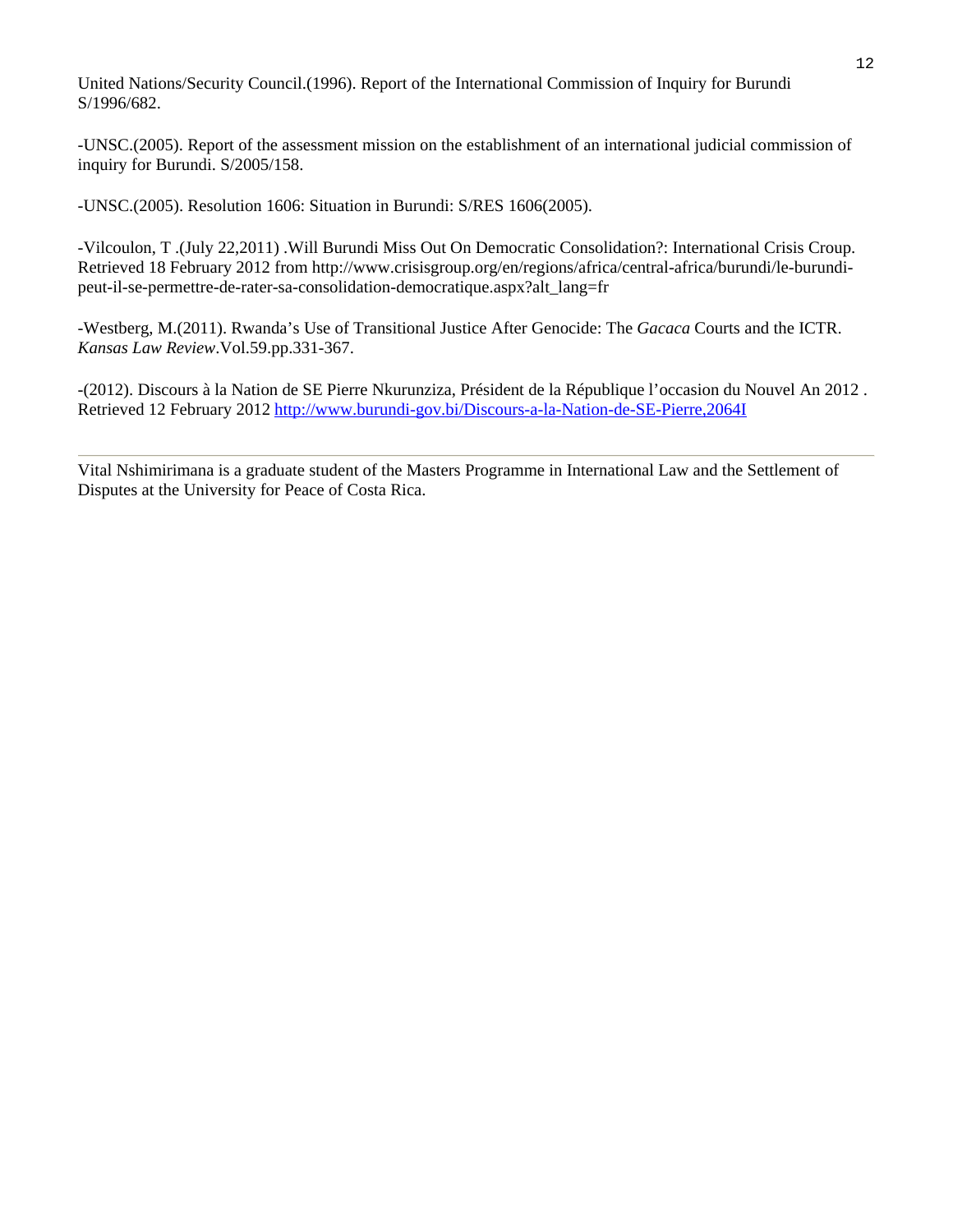United Nations/Security Council.(1996). Report of the International Commission of Inquiry for Burundi S/1996/682.

-UNSC.(2005). Report of the assessment mission on the establishment of an international judicial commission of inquiry for Burundi. S/2005/158.

-UNSC.(2005). Resolution 1606: Situation in Burundi: S/RES 1606(2005).

-Vilcoulon, T .(July 22,2011) .Will Burundi Miss Out On Democratic Consolidation?: International Crisis Croup. Retrieved 18 February 2012 from http://www.crisisgroup.org/en/regions/africa/central-africa/burundi/le-burundipeut-il-se-permettre-de-rater-sa-consolidation-democratique.aspx?alt\_lang=fr

-Westberg, M.(2011). Rwanda's Use of Transitional Justice After Genocide: The *Gacaca* Courts and the ICTR. *Kansas Law Review*.Vol.59.pp.331-367.

-(2012). Discours à la Nation de SE Pierre Nkurunziza, Président de la République l'occasion du Nouvel An 2012 . Retrieved 12 February 2012<http://www.burundi-gov.bi/Discours-a-la-Nation-de-SE-Pierre,2064I>

Vital Nshimirimana is a graduate student of the Masters Programme in International Law and the Settlement of Disputes at the University for Peace of Costa Rica.